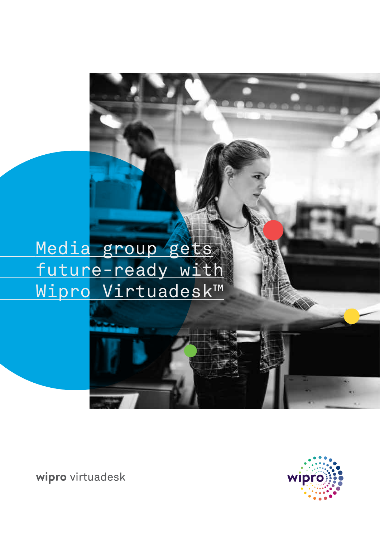Media group gets future-ready with Wipro Virtuadesk™



wipro virtuadesk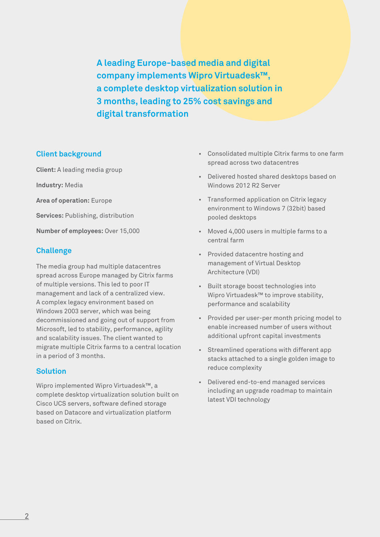**A leading Europe-based media and digital company implements Wipro Virtuadesk™, a complete desktop virtualization solution in 3 months, leading to 25% cost savings and digital transformation**

# **Client background**

**Client:** A leading media group

**Industry:** Media

**Area of operation:** Europe

**Services:** Publishing, distribution

**Number of employees:** Over 15,000

# **Challenge**

The media group had multiple datacentres spread across Europe managed by Citrix farms of multiple versions. This led to poor IT management and lack of a centralized view. A complex legacy environment based on Windows 2003 server, which was being decommissioned and going out of support from Microsoft, led to stability, performance, agility and scalability issues. The client wanted to migrate multiple Citrix farms to a central location in a period of 3 months.

### **Solution**

Wipro implemented Wipro Virtuadesk™, a complete desktop virtualization solution built on Cisco UCS servers, software defined storage based on Datacore and virtualization platform based on Citrix.

- Consolidated multiple Citrix farms to one farm spread across two datacentres
- Delivered hosted shared desktops based on Windows 2012 R2 Server
- Transformed application on Citrix legacy environment to Windows 7 (32bit) based pooled desktops
- Moved 4,000 users in multiple farms to a central farm
- Provided datacentre hosting and management of Virtual Desktop Architecture (VDI)
- Built storage boost technologies into Wipro Virtuadesk™ to improve stability, performance and scalability
- Provided per user-per month pricing model to enable increased number of users without additional upfront capital investments
- Streamlined operations with different app stacks attached to a single golden image to reduce complexity
- Delivered end-to-end managed services including an upgrade roadmap to maintain latest VDI technology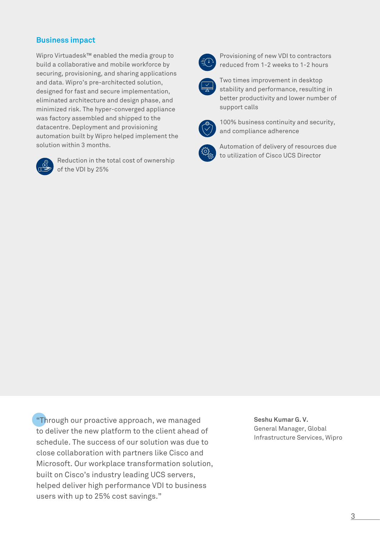# **Business impact**

Wipro Virtuadesk™ enabled the media group to build a collaborative and mobile workforce by securing, provisioning, and sharing applications and data. Wipro's pre-architected solution, designed for fast and secure implementation, eliminated architecture and design phase, and minimized risk. The hyper-converged appliance was factory assembled and shipped to the datacentre. Deployment and provisioning automation built by Wipro helped implement the solution within 3 months.



 Reduction in the total cost of ownership of the VDI by 25%



 Provisioning of new VDI to contractors reduced from 1-2 weeks to 1-2 hours



 Two times improvement in desktop stability and performance, resulting in better productivity and lower number of support calls



 100% business continuity and security, and compliance adherence



 Automation of delivery of resources due to utilization of Cisco UCS Director

"Through our proactive approach, we managed to deliver the new platform to the client ahead of schedule. The success of our solution was due to close collaboration with partners like Cisco and Microsoft. Our workplace transformation solution, built on Cisco's industry leading UCS servers, helped deliver high performance VDI to business users with up to 25% cost savings."

**Seshu Kumar G. V.** General Manager, Global Infrastructure Services, Wipro